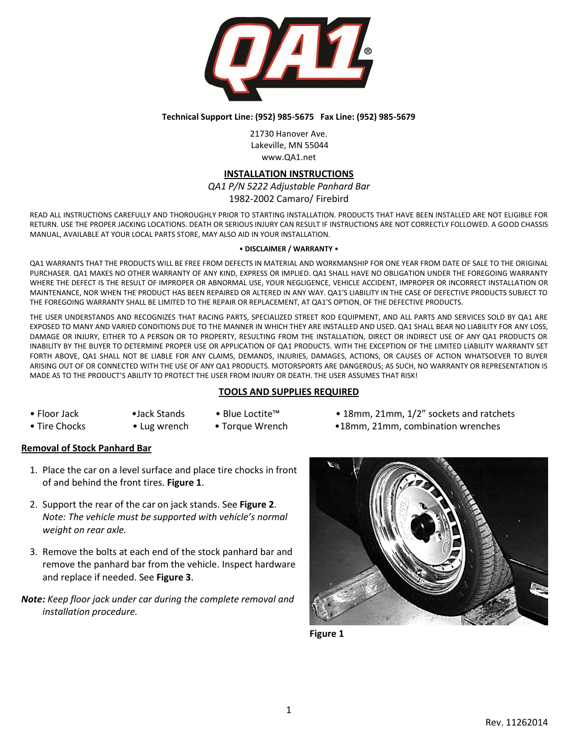

#### **Technical Support Line: (952) 985-5675 Fax Line: (952) 985-5679**

21730 Hanover Ave. Lakeville, MN 55044 www.QA1.net

### **INSTALLATION INSTRUCTIONS**

# *QA1 P/N 5222 Adjustable Panhard Bar*

1982-2002 Camaro/ Firebird

READ ALL INSTRUCTIONS CAREFULLY AND THOROUGHLY PRIOR TO STARTING INSTALLATION. PRODUCTS THAT HAVE BEEN INSTALLED ARE NOT ELIGIBLE FOR RETURN. USE THE PROPER JACKING LOCATIONS. DEATH OR SERIOUS INJURY CAN RESULT IF INSTRUCTIONS ARE NOT CORRECTLY FOLLOWED. A GOOD CHASSIS MANUAL, AVAILABLE AT YOUR LOCAL PARTS STORE, MAY ALSO AID IN YOUR INSTALLATION.

#### • **DISCLAIMER / WARRANTY** •

QA1 WARRANTS THAT THE PRODUCTS WILL BE FREE FROM DEFECTS IN MATERIAL AND WORKMANSHIP FOR ONE YEAR FROM DATE OF SALE TO THE ORIGINAL PURCHASER. QA1 MAKES NO OTHER WARRANTY OF ANY KIND, EXPRESS OR IMPLIED. QA1 SHALL HAVE NO OBLIGATION UNDER THE FOREGOING WARRANTY WHERE THE DEFECT IS THE RESULT OF IMPROPER OR ABNORMAL USE, YOUR NEGLIGENCE, VEHICLE ACCIDENT, IMPROPER OR INCORRECT INSTALLATION OR MAINTENANCE, NOR WHEN THE PRODUCT HAS BEEN REPAIRED OR ALTERED IN ANY WAY. QA1'S LIABILITY IN THE CASE OF DEFECTIVE PRODUCTS SUBJECT TO THE FOREGOING WARRANTY SHALL BE LIMITED TO THE REPAIR OR REPLACEMENT, AT QA1'S OPTION, OF THE DEFECTIVE PRODUCTS.

THE USER UNDERSTANDS AND RECOGNIZES THAT RACING PARTS, SPECIALIZED STREET ROD EQUIPMENT, AND ALL PARTS AND SERVICES SOLD BY QA1 ARE EXPOSED TO MANY AND VARIED CONDITIONS DUE TO THE MANNER IN WHICH THEY ARE INSTALLED AND USED. QA1 SHALL BEAR NO LIABILITY FOR ANY LOSS, DAMAGE OR INJURY, EITHER TO A PERSON OR TO PROPERTY, RESULTING FROM THE INSTALLATION, DIRECT OR INDIRECT USE OF ANY QA1 PRODUCTS OR INABILITY BY THE BUYER TO DETERMINE PROPER USE OR APPLICATION OF QA1 PRODUCTS. WITH THE EXCEPTION OF THE LIMITED LIABILITY WARRANTY SET FORTH ABOVE, QA1 SHALL NOT BE LIABLE FOR ANY CLAIMS, DEMANDS, INJURIES, DAMAGES, ACTIONS, OR CAUSES OF ACTION WHATSOEVER TO BUYER ARISING OUT OF OR CONNECTED WITH THE USE OF ANY QA1 PRODUCTS. MOTORSPORTS ARE DANGEROUS; AS SUCH, NO WARRANTY OR REPRESENTATION IS MADE AS TO THE PRODUCT'S ABILITY TO PROTECT THE USER FROM INJURY OR DEATH. THE USER ASSUMES THAT RISK!

## **TOOLS AND SUPPLIES REQUIRED**

- 
- 
- 
- Floor Jack •Jack Stands Blue Loctite™ 18mm, 21mm, 1/2" sockets and ratchets
- Tire Chocks Lug wrench Torque Wrench 18mm, 21mm, combination wrenches

## **Removal of Stock Panhard Bar**

- 1. Place the car on a level surface and place tire chocks in front of and behind the front tires. **Figure 1**.
- 2. Support the rear of the car on jack stands. See **Figure 2**. *Note: The vehicle must be supported with vehicle's normal weight on rear axle.*
- 3. Remove the bolts at each end of the stock panhard bar and remove the panhard bar from the vehicle. Inspect hardware and replace if needed. See **Figure 3**.
- *Note: Keep floor jack under car during the complete removal and installation procedure.*



**Figure 1**